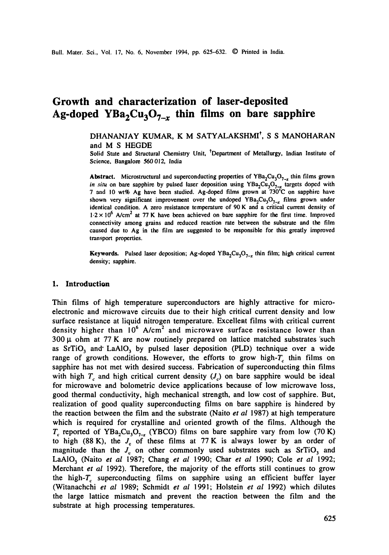# **Growth and characterization of laser-deposited**  Ag-doped  $YBa<sub>2</sub>Cu<sub>3</sub>O<sub>7-x</sub>$  thin films on bare sapphire

## DHANANJAY KUMAR, K M SATYALAKSHMI', S S MANOHARAN and M S HEGDE

Solid State and Structural Chemistry Unit, <sup>†</sup>Department of Metallurgy, Indian Institute of Science, Bangalore 560012, India

**Abstract.** Microstructural and superconducting properties of  $YBa<sub>2</sub>Cu<sub>3</sub>O<sub>7-r</sub>$  thin films grown *in situ* on bare sapphire by pulsed laser deposition using YBa<sub>2</sub>Cu<sub>3</sub>O<sub>7-x</sub> targets doped with 7 and 10 wt% Ag have been studied. Ag-doped films grown at  $730^{\circ}$ C on sapphire have shown very significant improvement over the undoped  $YBa<sub>2</sub>Cu<sub>3</sub>O<sub>7-x</sub>$  films grown under identical condition. A zero resistance temperature of 90 K and a critical current density of  $1.2 \times 10^6$  A/cm<sup>2</sup> at 77 K have been achieved on bare sapphire for the first time. Improved connectivity among grains and reduced reaction rate between the substrate and the film caused due to Ag in the film are suggested to be responsible for this greatly improved transport properties.

**Keywords.** Pulsed laser deposition; Ag-doped YBa<sub>2</sub>Cu<sub>3</sub>O<sub>7-x</sub> thin film; high critical current density; sapphire.

#### **1. Introduction**

Thin films of high temperature superconductors are highly attractive for microelectronic and microwave circuits due to their high critical current density and low surface resistance at liquid nitrogen temperature. Excellent films with critical current density higher than  $10^6$  A/cm<sup>2</sup> and microwave surface resistance lower than  $300 \mu$  ohm at 77 K are now routinely prepared on lattice matched substrates 'such as  $SrTiO<sub>3</sub>$  and LaAIO<sub>3</sub> by pulsed laser deposition (PLD) technique over a wide range of growth conditions. However, the efforts to grow high- $T_c$  thin films on sapphire has not met with desired success. Fabrication of superconducting thin films with high  $T_c$  and high critical current density  $(J_c)$  on bare sapphire would be ideal for microwave and bolometric device applications because of low microwave loss, good thermal conductivity, high mechanical strength, and low cost of sapphire. But, realization of good quality superconducting films on bare sapphire is hindered by the reaction between the film and the substrate (Naito *et al* 1987) at high temperature which is required for crystalline and oriented growth of the films. Although the  $T_c$  reported of YBa<sub>2</sub>Cu<sub>3</sub>O<sub>7-x</sub> (YBCO) films on bare sapphire vary from low (70 K) to high (88 K), the  $J_c$  of these films at 77 K is always lower by an order of magnitude than the  $J_c$  on other commonly used substrates such as SrTiO<sub>3</sub> and LaAIO<sub>3</sub> (Naito *et al* 1987; Chang *et al* 1990; Char *et al* 1990; Cole *et al* 1992; Merchant *et al* 1992). Therefore, the majority of the efforts still continues to grow the high- $T_c$  superconducting films on sapphire using an efficient buffer layer (Witanachchi *et al* 1989; Schmidt *et al* 1991; Holstein *et al* 1992) which dilutes the large lattice mismatch and prevent the reaction between the film and the substrate at high processing temperatures.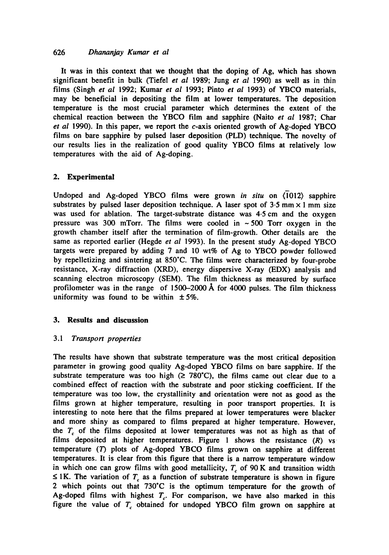## 626 *Dhananjay Kumar et al*

It was in this context that we thought that the doping of Ag, which has shown significant benefit in bulk (Tiefel *et al* 1989; Jung *et al* 1990) as well as in thin films (Singh *et al* 1992; Kumar *et al* 1993; Pinto *et al* 1993) of YBCO materials, may be beneficial in depositing the film at lower temperatures. The deposition temperature is the most crucial parameter which determines the extent of the chemical reaction between the YBCO film and sapphire (Naito *et al* 1987; Char *et al* 1990). In this paper, we report the c-axis oriented growth of Ag-doped YBCO films on bare sapphire by pulsed laser deposition (PLD) technique. The novelty of our results lies in the realization of good quality YBCO films at relatively low temperatures with the aid of Ag-doping.

## **2. Experimental**

Undoped and Ag-doped YBCO films were grown *in situ* on (1012) sapphire substrates by pulsed laser deposition technique. A laser spot of  $3.5 \text{ mm} \times 1 \text{ mm}$  size was used for ablation. The target-substrate distance was 4.5 cm and the oxygen pressure was  $300$  mTorr. The films were cooled in  $\sim 500$  Torr oxygen in the growth chamber itself after the termination of film-growth. Other details are the same as reported earlier (Hegde *et al* 1993). In the present study Ag-doped YBCO targets were prepared by adding 7 and 10 wt% of Ag to YBCO powder followed by repelletizing and sintering at 850°C. The films were characterized by four-probe resistance, X-ray diffraction (XRD), energy dispersive X-ray (EDX) analysis and scanning electron microscopy (SEM). The film thickness as measured by surface profilometer was in the range of  $1500-2000$  Å for 4000 pulses. The film thickness uniformity was found to be within  $\pm 5\%$ .

## **3. Results and discussion**

## 3.1 *Transport properties*

The results have shown that substrate temperature was the most critical deposition parameter in growing good quality Ag-doped YBCO films on bare sapphire. If the substrate temperature was too high  $(2780^{\circ}\text{C})$ , the films came out clear due to a combined effect of reaction with the substrate and poor sticking coefficient. If the temperature was too low, the crystallinity and orientation were not as good as the films grown at higher temperature, resulting in poor transport properties. It is interesting to note here that the films prepared at lower temperatures were blacker and more shiny as compared to films prepared at higher temperature. However, the  $T_c$  of the films deposited at lower temperatures was not as high as that of films deposited at higher temperatures. Figure 1 shows the resistance  $(R)$  vs temperature (7) plots of Ag-doped YBCO films grown on sapphire at different temperatures. It is clear from this figure that there is a narrow temperature window in which one can grow films with good metallicity,  $T_c$  of 90 K and transition width  $\leq$  1K. The variation of  $T_c$  as a function of substrate temperature is shown in figure 2 which points out that 730"C is the optimum temperature for the growth of Ag-doped films with highest  $T_c$ . For comparison, we have also marked in this figure the value of *T<sub>r</sub>* obtained for undoped YBCO film grown on sapphire at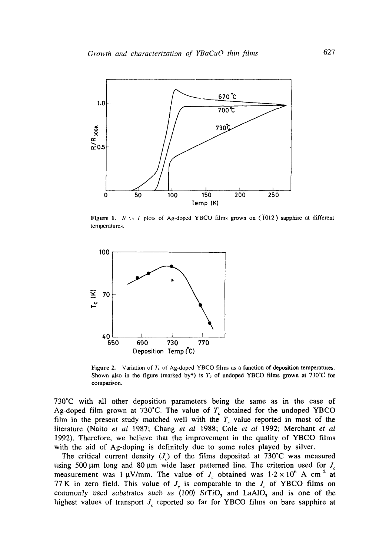

Figure 1. R  $\sqrt{s}$  I plots of Ag-doped YBCO films grown on  $\langle 1012 \rangle$  sapphire at different temperatures.



Figure 2. Variation of  $T_c$  of Ag-doped YBCO films as a function of deposition temperatures. Shown also in the figure (marked by\*) is  $T_c$  of undoped YBCO films grown at 730°C for comparison.

730"C with all other deposition parameters being the same as in the case of Ag-doped film grown at 730°C. The value of  $T_c$  obtained for the undoped YBCO film in the present study matched well with the  $T<sub>c</sub>$  value reported in most of the literature (Naito *et al* 1987; Chang *et al* 1988; Cole *et al* 1992; Merchant *et al*  1992). Therefore, we believe that the improvement in the quality of YBCO films with the aid of Ag-doping is definitely due to some roles played by silver.

The critical current density  $(J<sub>c</sub>)$  of the films deposited at 730°C was measured using 500 µm long and 80 µm wide laser patterned line. The criterion used for  $J_c$ measurement was 1  $\mu$ V/mm. The value of J, obtained was 1.2 × 10° A cm<sup>-2</sup> at 77 K in zero field. This value of  $J<sub>c</sub>$  is comparable to the  $J<sub>c</sub>$  of YBCO films on commonly used *substrates such as (100)* SrTiO<sub>3</sub> and LaAIO<sub>3</sub> and is one of the highest values of transport  $J_c$  reported so far for YBCO films on bare sapphire at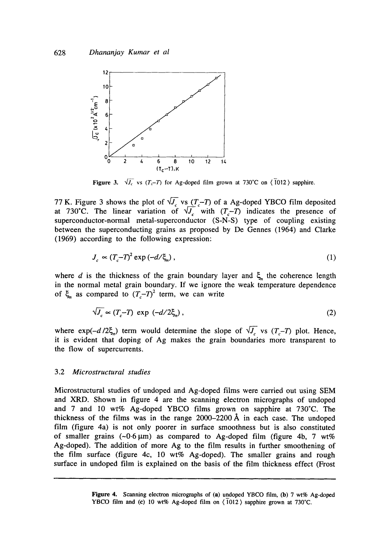

Figure 3.  $\sqrt{J_c}$  vs  $(T_c-T)$  for Ag-doped film grown at 730°C on  $\langle 1012 \rangle$  sapphire.

77 K. Figure 3 shows the plot of  $\vee V_r$ , vs  $(T_r-T)$  of a Ag-doped YBCO film deposited at 730°C. The linear variation of  $\forall J_c$  with  $(T_c-T)$  indicates the presence of superconductor-normal metal-superconductor (S-N-S) type of coupling existing between the superconducting grains as proposed by De Gennes (1964) and Clarke (1969) according to the following expression:

$$
J_c \propto (T_c - T)^2 \exp\left(-d/\xi_n\right),\tag{1}
$$

where d is the thickness of the grain boundary layer and  $\zeta_n$  the coherence length in the normal metal grain boundary. If we ignore the weak temperature dependence of  $\zeta_n$  as compared to  $(T<sub>c</sub>-T)<sup>2</sup>$  term, we can write

$$
\sqrt{J_c} \propto (T_c - T) \exp(-d/2\xi_n) \,, \tag{2}
$$

where  $\exp(-d/2\xi_n)$  term would determine the slope of  $\sqrt{J_c}$  vs  $(T_c-T)$  plot. Hence, it is evident that doping of Ag makes the grain boundaries more transparent to the flow of supercurrents.

#### 3.2 *Microstructural studies*

Microstructural studies of undoped and Ag-doped films were carried out using SEM and XRD. Shown in figure 4 are the scanning electron micrographs of undoped and 7 and 10 wt% Ag-doped YBCO films grown on sapphire at  $730^{\circ}$ C. The thickness of the films was in the range  $2000-2200\text{ Å}$  in each case. The undoped film (figure 4a) is not only poorer in surface smoothness but is also constituted of smaller grains  $(-0.6 \mu m)$  as compared to Ag-doped film (figure 4b, 7 wt%) Ag-doped). The addition of more Ag to the film results in further smoothening of the film surface (figure 4c, 10 wt% Ag-doped). The smaller grains and rough surface in undoped film is explained on the basis of the film thickness effect (Frost

> **Figure** 4. Scanning electron micrographs of (a) undopcd YBCO film, (b) 7 wt% Ag-dopcd YBCO film and (c) 10 wt% Ag-doped film on  $\langle 1012 \rangle$  sapphire grown at 730°C.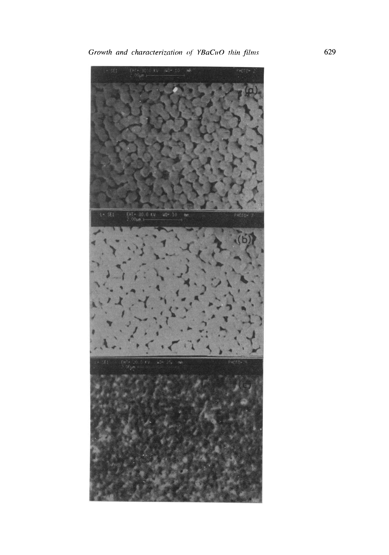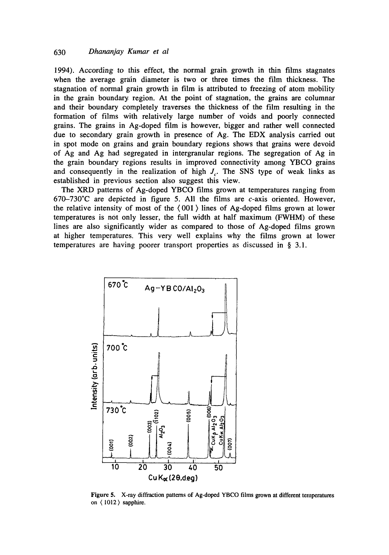#### 630 *Dhananjay Kumar et al*

1994). According to this effect, the normal grain, growth in thin films stagnates when the average grain diameter is two or three times the film thickness. The stagnation of normal grain growth in film is attributed to freezing of atom mobility in the grain boundary region. At the point of stagnation, the grains are columnar and their boundary completely traverses the thickness of the film resulting in the formation of films with relatively large number of voids and poorly connected grains. The grains in Ag-doped film is however, bigger and rather well connected due to secondary grain growth in presence of Ag. The EDX analysis carried out in spot mode on grains and grain boundary regions shows that grains were devoid of Ag and Ag had segregated in intergranular regions. The segregation of Ag in the grain boundary regions results in improved connectivity among YBCO grains and consequently in the realization of high  $J_c$ . The SNS type of weak links as established in previous section also suggest this view.

The XRD patterns of Ag-doped YBCO films grown at temperatures ranging from 670-730°C are depicted in figure 5. All the films are c-axis oriented. However, the relative intensity of most of the  $(001)$  lines of Ag-doped films grown at lower temperatures is not only lesser, the full width at half maximum (FWHM) of these lines are also significantly wider as compared to those of Ag-doped films grown at higher temperatures. This very well explains why the films grown at lower temperatures are having poorer transport properties as discussed in § 3.1.



Figure 5. X-ray diffraction patterns of Ag-doped YBCO films grown at different temperatures on (1012) sapphire.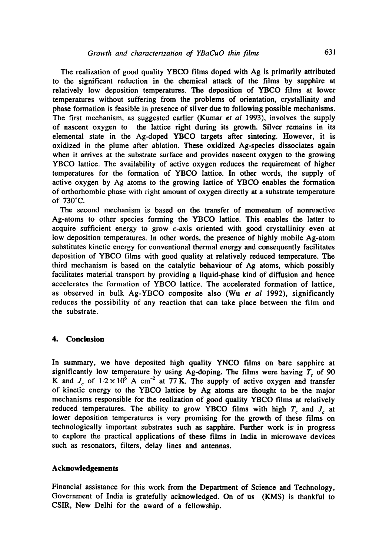The realization of good quality YBCO films doped with Ag is primarily attributed to the significant reduction in the chemical attack of the films by sapphire at relatively low deposition temperatures. The deposition of YBCO films at lower temperatures without suffering from the problems of orientation, crystallinity and phase formation is feasible in presence of silver due to following possible mechanisms. The first mechanism, as suggested earlier (Kumar *et al* 1993), involves the supply of nascent oxygen to the lattice right during its growth. Silver remains in its elemental state in the Ag-doped YBCO targets after sintering. However, it is oxidized in the plume after ablation. These oxidized Ag-species dissociates again when it arrives at the substrate surface and provides nascent oxygen to the growing YBCO lattice. The availability of active oxygen reduces the requirement of higher temperatures for the formation of YBCO lattice. In other words, the supply of active oxygen by Ag atoms to the growing lattice of YBCO enables the formation of orthorhombic phase with right amount of oxygen directly at a substrate temperature of 730°C.

The second mechanism is based on the transfer of momentum of nonreactive Ag-atoms to other species forming the YBCO lattice. This enables the latter to acquire sufficient energy to grow c-axis oriented with good crystallinity even at low deposition temperatures. In other words, the presence of highly mobile Ag-atom substitutes kinetic energy for conventional thermal energy and consequently facilitates deposition of YBCO films with good quality at relatively reduced temperature. The third mechanism is based on the catalytic behaviour of Ag atoms, which possibly facilitates material transport by providing a liquid-phase kind of diffusion and hence accelerates the formation of YBCO lattice. The accelerated formation of lattice, as observed in bulk Ag-YBCO composite also (Wu *et al* 1992), significantly reduces the possibility of any reaction that can take place between the film and the substrate.

### **4. Conclusion**

In summary, we have deposited high quality YNCO films on bare sapphire at significantly low temperature by using Ag-doping. The films were having  $T_c$  of 90 K and  $J_c$  of  $1.2 \times 10^{6}$  A cm<sup>-2</sup> at 77 K. The supply of active oxygen and transfer of kinetic energy to the YBCO lattice by Ag atoms are thought to be the major mechanisms responsible for the realization of good quality YBCO films at relatively reduced temperatures. The ability to grow YBCO films with high  $T_c$  and  $J_c$  at lower deposition temperatures is very promising for the growth of these films on technologically important substrates such as sapphire. Further work is in progress to explore the practical applications of these films in India in microwave devices such as resonators, filters, delay lines and antennas.

#### **Acknowledgements**

Financial assistance for this work from the Department of Science and Technology, Government of India is gratefully acknowledged. On of us (KMS) is thankful to CSIR, New Delhi for the award of a fellowship.